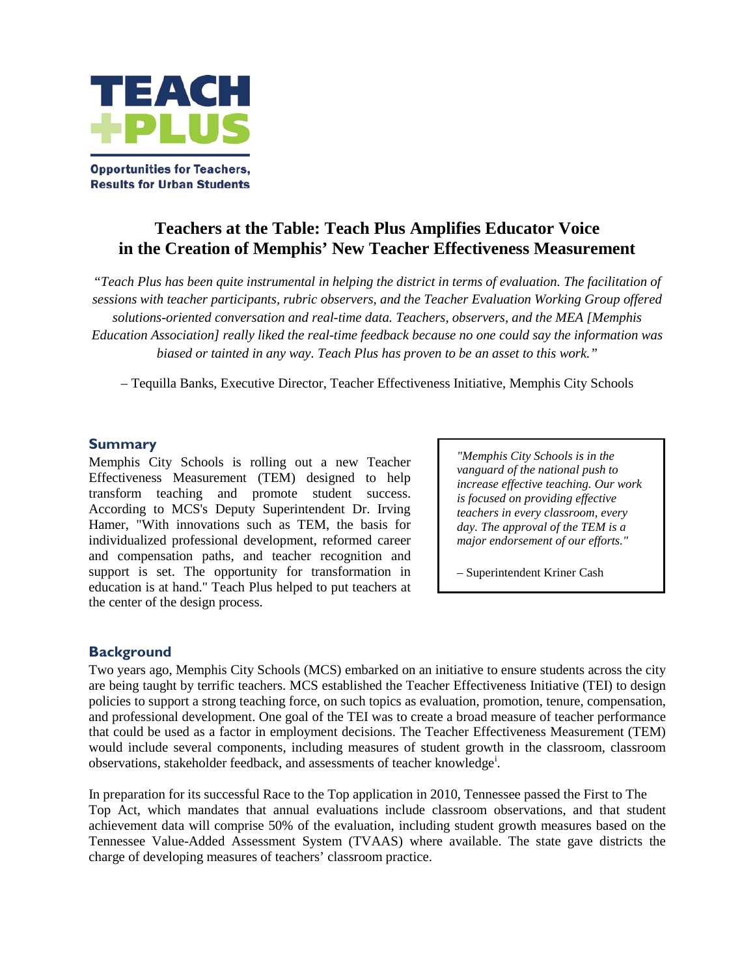

**Opportunities for Teachers, Results for Urban Students** 

# **Teachers at the Table: Teach Plus Amplifies Educator Voice in the Creation of Memphis' New Teacher Effectiveness Measurement**

*"Teach Plus has been quite instrumental in helping the district in terms of evaluation. The facilitation of sessions with teacher participants, rubric observers, and the Teacher Evaluation Working Group offered solutions-oriented conversation and real-time data. Teachers, observers, and the MEA [Memphis Education Association] really liked the real-time feedback because no one could say the information was biased or tainted in any way. Teach Plus has proven to be an asset to this work."*

– Tequilla Banks, Executive Director, Teacher Effectiveness Initiative, Memphis City Schools

### **Summary**

Memphis City Schools is rolling out a new Teacher Effectiveness Measurement (TEM) designed to help transform teaching and promote student success. According to MCS's Deputy Superintendent Dr. Irving Hamer, "With innovations such as TEM, the basis for individualized professional development, reformed career and compensation paths, and teacher recognition and support is set. The opportunity for transformation in education is at hand." Teach Plus helped to put teachers at the center of the design process.

*"Memphis City Schools is in the vanguard of the national push to increase effective teaching. Our work is focused on providing effective teachers in every classroom, every day. The approval of the TEM is a major endorsement of our efforts."*

– Superintendent Kriner Cash

## **Background**

Two years ago, Memphis City Schools (MCS) embarked on an initiative to ensure students across the city are being taught by terrific teachers. MCS established the Teacher Effectiveness Initiative (TEI) to design policies to support a strong teaching force, on such topics as evaluation, promotion, tenure, compensation, and professional development. One goal of the TEI was to create a broad measure of teacher performance that could be used as a factor in employment decisions. The Teacher Effectiveness Measurement (TEM) would include several components, including measures of student growth in the classroom, classroom observat[i](#page-3-0)ons, stakeholder feedback, and assessments of teacher knowledge<sup>1</sup>.

In preparation for its successful Race to the Top application in 2010, Tennessee passed the First to The Top Act, which mandates that annual evaluations include classroom observations, and that student achievement data will comprise 50% of the evaluation, including student growth measures based on the Tennessee Value-Added Assessment System (TVAAS) where available. The state gave districts the charge of developing measures of teachers' classroom practice.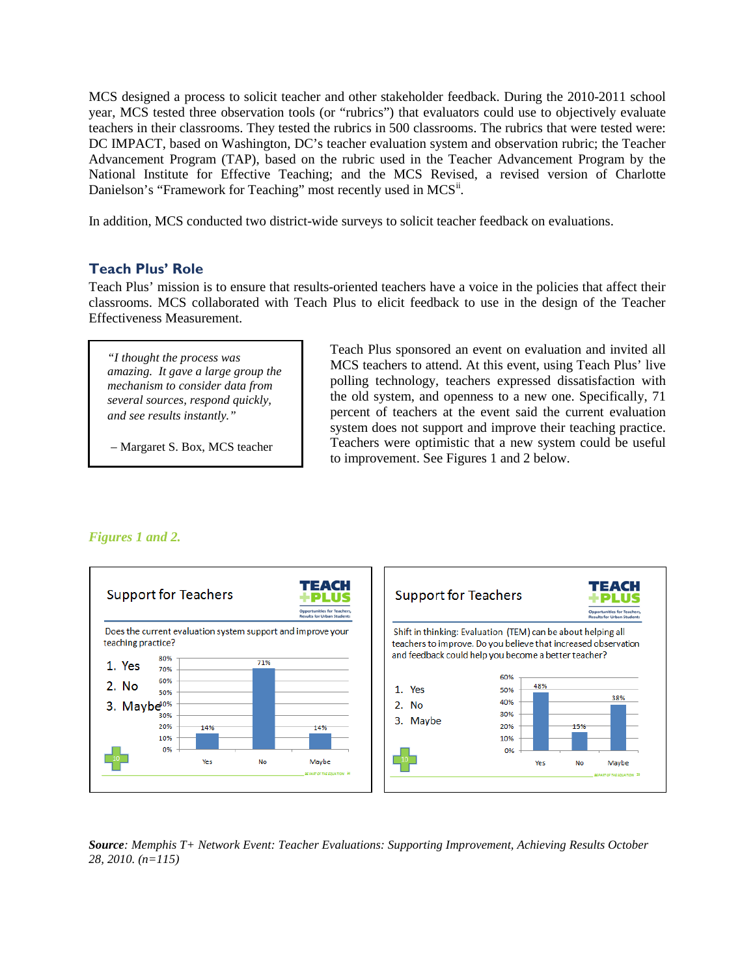MCS designed a process to solicit teacher and other stakeholder feedback. During the 2010-2011 school year, MCS tested three observation tools (or "rubrics") that evaluators could use to objectively evaluate teachers in their classrooms. They tested the rubrics in 500 classrooms. The rubrics that were tested were: DC IMPACT, based on Washington, DC's teacher evaluation system and observation rubric; the Teacher Advancement Program (TAP), based on the rubric used in the Teacher Advancement Program by the National Institute for Effective Teaching; and the MCS Revised, a revised version of Charlotte Danielson's "Framework for Teaching" most recently used in MCS".

In addition, MCS conducted two district-wide surveys to solicit teacher feedback on evaluations.

## **Teach Plus' Role**

Teach Plus' mission is to ensure that results-oriented teachers have a voice in the policies that affect their classrooms. MCS collaborated with Teach Plus to elicit feedback to use in the design of the Teacher Effectiveness Measurement.

*"I thought the process was amazing. It gave a large group the mechanism to consider data from several sources, respond quickly, and see results instantly."*

– Margaret S. Box, MCS teacher

Teach Plus sponsored an event on evaluation and invited all MCS teachers to attend. At this event, using Teach Plus' live polling technology, teachers expressed dissatisfaction with the old system, and openness to a new one. Specifically, 71 percent of teachers at the event said the current evaluation system does not support and improve their teaching practice. Teachers were optimistic that a new system could be useful to improvement. See Figures 1 and 2 below.



### *Figures 1 and 2.*

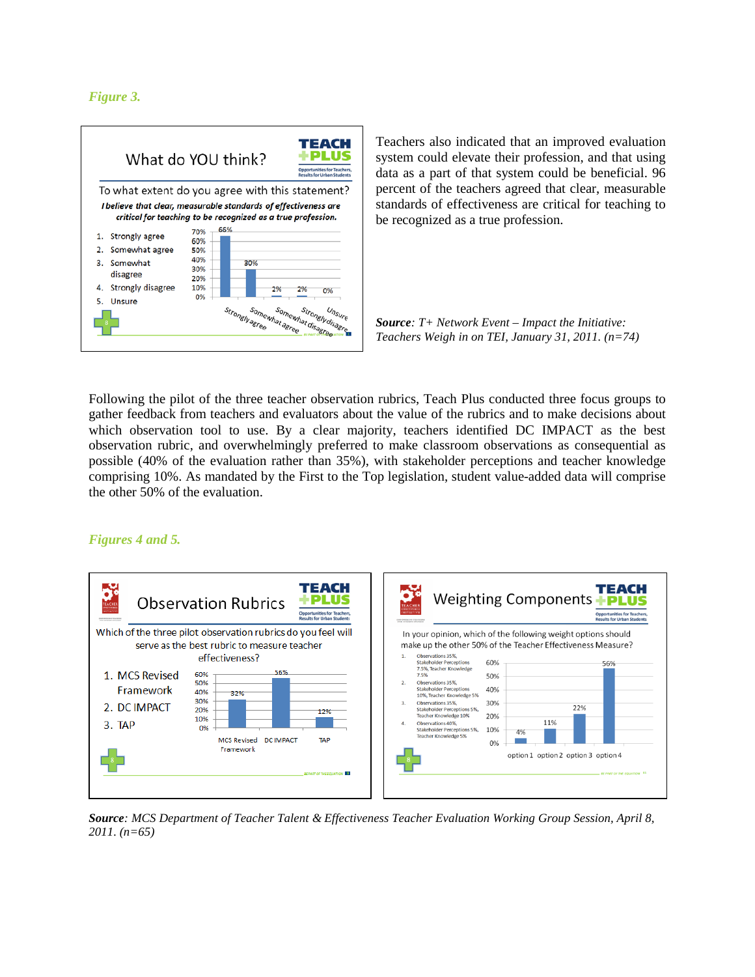*Figure 3.*



Teachers also indicated that an improved evaluation system could elevate their profession, and that using data as a part of that system could be beneficial. 96 percent of the teachers agreed that clear, measurable standards of effectiveness are critical for teaching to be recognized as a true profession.

*Source: T+ Network Event – Impact the Initiative: Teachers Weigh in on TEI, January 31, 2011. (n=74)*

Following the pilot of the three teacher observation rubrics, Teach Plus conducted three focus groups to gather feedback from teachers and evaluators about the value of the rubrics and to make decisions about which observation tool to use. By a clear majority, teachers identified DC IMPACT as the best observation rubric, and overwhelmingly preferred to make classroom observations as consequential as possible (40% of the evaluation rather than 35%), with stakeholder perceptions and teacher knowledge comprising 10%. As mandated by the First to the Top legislation, student value-added data will comprise the other 50% of the evaluation.

### *Figures 4 and 5.*



*Source: MCS Department of Teacher Talent & Effectiveness Teacher Evaluation Working Group Session, April 8, 2011. (n=65)*